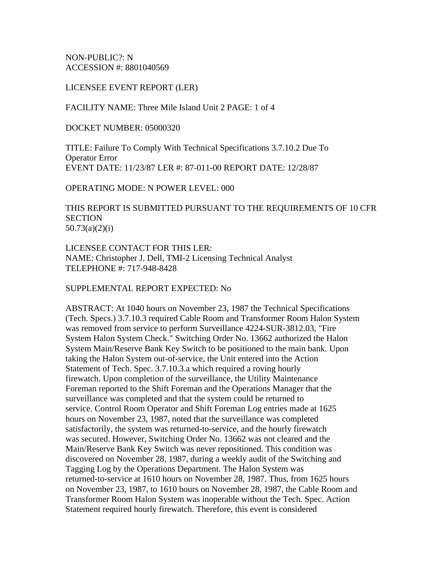NON-PUBLIC?: N ACCESSION #: 8801040569

LICENSEE EVENT REPORT (LER)

FACILITY NAME: Three Mile Island Unit 2 PAGE: 1 of 4

DOCKET NUMBER: 05000320

TITLE: Failure To Comply With Technical Specifications 3.7.10.2 Due To Operator Error EVENT DATE: 11/23/87 LER #: 87-011-00 REPORT DATE: 12/28/87

OPERATING MODE: N POWER LEVEL: 000

THIS REPORT IS SUBMITTED PURSUANT TO THE REQUIREMENTS OF 10 CFR **SECTION** 50.73(a)(2)(i)

LICENSEE CONTACT FOR THIS LER: NAME: Christopher J. Dell, TMI-2 Licensing Technical Analyst TELEPHONE #: 717-948-8428

SUPPLEMENTAL REPORT EXPECTED: No

ABSTRACT: At 1040 hours on November 23, 1987 the Technical Specifications (Tech. Specs.) 3.7.10.3 required Cable Room and Transformer Room Halon System was removed from service to perform Surveillance 4224-SUR-3812.03, "Fire System Halon System Check." Switching Order No. 13662 authorized the Halon System Main/Reserve Bank Key Switch to be positioned to the main bank. Upon taking the Halon System out-of-service, the Unit entered into the Action Statement of Tech. Spec. 3.7.10.3.a which required a roving hourly firewatch. Upon completion of the surveillance, the Utility Maintenance Foreman reported to the Shift Foreman and the Operations Manager that the surveillance was completed and that the system could be returned to service. Control Room Operator and Shift Foreman Log entries made at 1625 hours on November 23, 1987, noted that the surveillance was completed satisfactorily, the system was returned-to-service, and the hourly firewatch was secured. However, Switching Order No. 13662 was not cleared and the Main/Reserve Bank Key Switch was never repositioned. This condition was discovered on November 28, 1987, during a weekly audit of the Switching and Tagging Log by the Operations Department. The Halon System was returned-to-service at 1610 hours on November 28, 1987. Thus, from 1625 hours on November 23, 1987, to 1610 hours on November 28, 1987, the Cable Room and Transformer Room Halon System was inoperable without the Tech. Spec. Action Statement required hourly firewatch. Therefore, this event is considered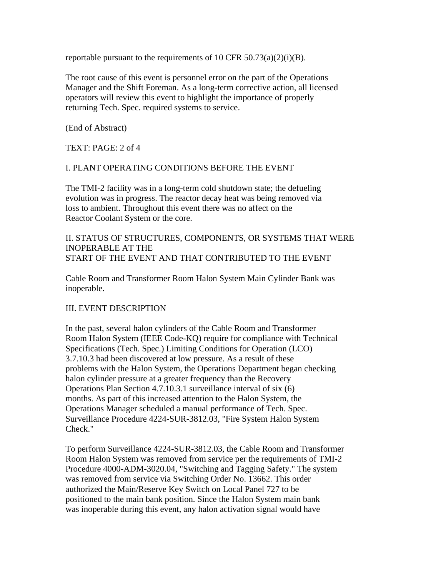reportable pursuant to the requirements of 10 CFR 50.73(a)(2)(i)(B).

The root cause of this event is personnel error on the part of the Operations Manager and the Shift Foreman. As a long-term corrective action, all licensed operators will review this event to highlight the importance of properly returning Tech. Spec. required systems to service.

(End of Abstract)

TEXT: PAGE: 2 of 4

### I. PLANT OPERATING CONDITIONS BEFORE THE EVENT

The TMI-2 facility was in a long-term cold shutdown state; the defueling evolution was in progress. The reactor decay heat was being removed via loss to ambient. Throughout this event there was no affect on the Reactor Coolant System or the core.

#### II. STATUS OF STRUCTURES, COMPONENTS, OR SYSTEMS THAT WERE INOPERABLE AT THE START OF THE EVENT AND THAT CONTRIBUTED TO THE EVENT

Cable Room and Transformer Room Halon System Main Cylinder Bank was inoperable.

# III. EVENT DESCRIPTION

In the past, several halon cylinders of the Cable Room and Transformer Room Halon System (IEEE Code-KQ) require for compliance with Technical Specifications (Tech. Spec.) Limiting Conditions for Operation (LCO) 3.7.10.3 had been discovered at low pressure. As a result of these problems with the Halon System, the Operations Department began checking halon cylinder pressure at a greater frequency than the Recovery Operations Plan Section 4.7.10.3.1 surveillance interval of six (6) months. As part of this increased attention to the Halon System, the Operations Manager scheduled a manual performance of Tech. Spec. Surveillance Procedure 4224-SUR-3812.03, "Fire System Halon System Check."

To perform Surveillance 4224-SUR-3812.03, the Cable Room and Transformer Room Halon System was removed from service per the requirements of TMI-2 Procedure 4000-ADM-3020.04, "Switching and Tagging Safety." The system was removed from service via Switching Order No. 13662. This order authorized the Main/Reserve Key Switch on Local Panel 727 to be positioned to the main bank position. Since the Halon System main bank was inoperable during this event, any halon activation signal would have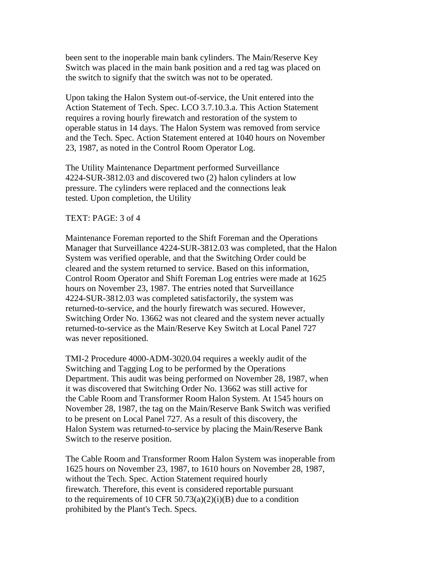been sent to the inoperable main bank cylinders. The Main/Reserve Key Switch was placed in the main bank position and a red tag was placed on the switch to signify that the switch was not to be operated.

Upon taking the Halon System out-of-service, the Unit entered into the Action Statement of Tech. Spec. LCO 3.7.10.3.a. This Action Statement requires a roving hourly firewatch and restoration of the system to operable status in 14 days. The Halon System was removed from service and the Tech. Spec. Action Statement entered at 1040 hours on November 23, 1987, as noted in the Control Room Operator Log.

The Utility Maintenance Department performed Surveillance 4224-SUR-3812.03 and discovered two (2) halon cylinders at low pressure. The cylinders were replaced and the connections leak tested. Upon completion, the Utility

#### TEXT: PAGE: 3 of 4

Maintenance Foreman reported to the Shift Foreman and the Operations Manager that Surveillance 4224-SUR-3812.03 was completed, that the Halon System was verified operable, and that the Switching Order could be cleared and the system returned to service. Based on this information, Control Room Operator and Shift Foreman Log entries were made at 1625 hours on November 23, 1987. The entries noted that Surveillance 4224-SUR-3812.03 was completed satisfactorily, the system was returned-to-service, and the hourly firewatch was secured. However, Switching Order No. 13662 was not cleared and the system never actually returned-to-service as the Main/Reserve Key Switch at Local Panel 727 was never repositioned.

TMI-2 Procedure 4000-ADM-3020.04 requires a weekly audit of the Switching and Tagging Log to be performed by the Operations Department. This audit was being performed on November 28, 1987, when it was discovered that Switching Order No. 13662 was still active for the Cable Room and Transformer Room Halon System. At 1545 hours on November 28, 1987, the tag on the Main/Reserve Bank Switch was verified to be present on Local Panel 727. As a result of this discovery, the Halon System was returned-to-service by placing the Main/Reserve Bank Switch to the reserve position.

The Cable Room and Transformer Room Halon System was inoperable from 1625 hours on November 23, 1987, to 1610 hours on November 28, 1987, without the Tech. Spec. Action Statement required hourly firewatch. Therefore, this event is considered reportable pursuant to the requirements of 10 CFR 50.73(a)(2)(i)(B) due to a condition prohibited by the Plant's Tech. Specs.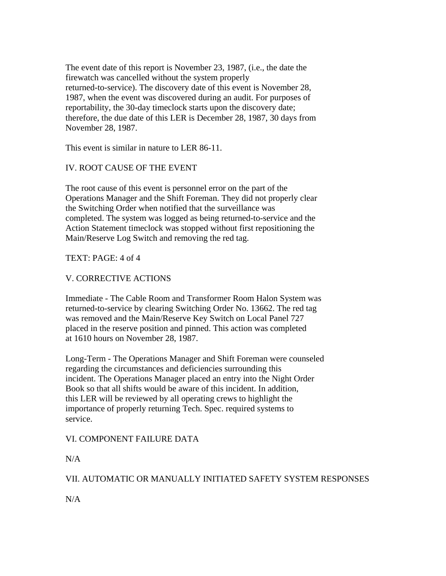The event date of this report is November 23, 1987, (i.e., the date the firewatch was cancelled without the system properly returned-to-service). The discovery date of this event is November 28, 1987, when the event was discovered during an audit. For purposes of reportability, the 30-day timeclock starts upon the discovery date; therefore, the due date of this LER is December 28, 1987, 30 days from November 28, 1987.

This event is similar in nature to LER 86-11.

# IV. ROOT CAUSE OF THE EVENT

The root cause of this event is personnel error on the part of the Operations Manager and the Shift Foreman. They did not properly clear the Switching Order when notified that the surveillance was completed. The system was logged as being returned-to-service and the Action Statement timeclock was stopped without first repositioning the Main/Reserve Log Switch and removing the red tag.

### TEXT: PAGE: 4 of 4

# V. CORRECTIVE ACTIONS

Immediate - The Cable Room and Transformer Room Halon System was returned-to-service by clearing Switching Order No. 13662. The red tag was removed and the Main/Reserve Key Switch on Local Panel 727 placed in the reserve position and pinned. This action was completed at 1610 hours on November 28, 1987.

Long-Term - The Operations Manager and Shift Foreman were counseled regarding the circumstances and deficiencies surrounding this incident. The Operations Manager placed an entry into the Night Order Book so that all shifts would be aware of this incident. In addition, this LER will be reviewed by all operating crews to highlight the importance of properly returning Tech. Spec. required systems to service.

# VI. COMPONENT FAILURE DATA

N/A

# VII. AUTOMATIC OR MANUALLY INITIATED SAFETY SYSTEM RESPONSES

N/A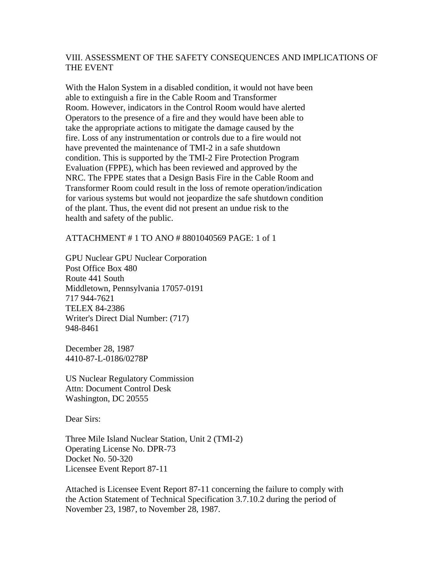#### VIII. ASSESSMENT OF THE SAFETY CONSEQUENCES AND IMPLICATIONS OF THE EVENT

With the Halon System in a disabled condition, it would not have been able to extinguish a fire in the Cable Room and Transformer Room. However, indicators in the Control Room would have alerted Operators to the presence of a fire and they would have been able to take the appropriate actions to mitigate the damage caused by the fire. Loss of any instrumentation or controls due to a fire would not have prevented the maintenance of TMI-2 in a safe shutdown condition. This is supported by the TMI-2 Fire Protection Program Evaluation (FPPE), which has been reviewed and approved by the NRC. The FPPE states that a Design Basis Fire in the Cable Room and Transformer Room could result in the loss of remote operation/indication for various systems but would not jeopardize the safe shutdown condition of the plant. Thus, the event did not present an undue risk to the health and safety of the public.

#### ATTACHMENT # 1 TO ANO # 8801040569 PAGE: 1 of 1

GPU Nuclear GPU Nuclear Corporation Post Office Box 480 Route 441 South Middletown, Pennsylvania 17057-0191 717 944-7621 TELEX 84-2386 Writer's Direct Dial Number: (717) 948-8461

December 28, 1987 4410-87-L-0186/0278P

US Nuclear Regulatory Commission Attn: Document Control Desk Washington, DC 20555

Dear Sirs:

Three Mile Island Nuclear Station, Unit 2 (TMI-2) Operating License No. DPR-73 Docket No. 50-320 Licensee Event Report 87-11

Attached is Licensee Event Report 87-11 concerning the failure to comply with the Action Statement of Technical Specification 3.7.10.2 during the period of November 23, 1987, to November 28, 1987.